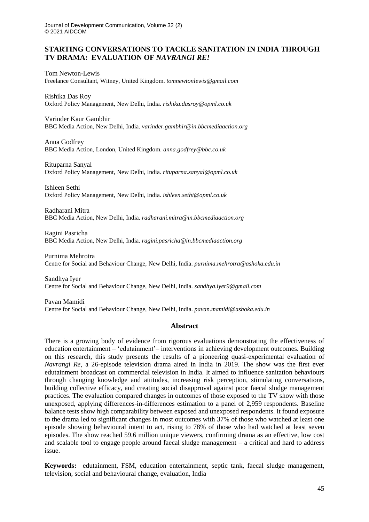# **STARTING CONVERSATIONS TO TACKLE SANITATION IN INDIA THROUGH TV DRAMA: EVALUATION OF** *NAVRANGI RE!*

Tom Newton-Lewis Freelance Consultant, Witney, United Kingdom. *tomnewtonlewis@gmail.com* 

Rishika Das Roy Oxford Policy Management, New Delhi, India. *rishika.dasroy@opml.co.uk*

Varinder Kaur Gambhir BBC Media Action, New Delhi, India. *varinder.gambhir@in.bbcmediaaction.org*

Anna Godfrey BBC Media Action, London, United Kingdom. *anna.godfrey@bbc.co.uk*

Rituparna Sanyal Oxford Policy Management, New Delhi, India. *rituparna.sanyal@opml.co.uk*

Ishleen Sethi Oxford Policy Management, New Delhi, India. *ishleen.sethi@opml.co.uk*

Radharani Mitra BBC Media Action, New Delhi, India. *radharani.mitra@in.bbcmediaaction.org*

Ragini Pasricha BBC Media Action, New Delhi, India. *ragini.pasricha@in.bbcmediaaction.org*

Purnima Mehrotra Centre for Social and Behaviour Change, New Delhi, India. *purnima.mehrotra@ashoka.edu.in*

Sandhya Iyer Centre for Social and Behaviour Change, New Delhi, India. *sandhya.iyer9@gmail.com*

Pavan Mamidi Centre for Social and Behaviour Change, New Delhi, India. *pavan.mamidi@ashoka.edu.in*

# **Abstract**

There is a growing body of evidence from rigorous evaluations demonstrating the effectiveness of education entertainment – 'edutainment'– interventions in achieving development outcomes. Building on this research, this study presents the results of a pioneering quasi-experimental evaluation of *Navrangi Re*, a 26-episode television drama aired in India in 2019. The show was the first ever edutainment broadcast on commercial television in India. It aimed to influence sanitation behaviours through changing knowledge and attitudes, increasing risk perception, stimulating conversations, building collective efficacy, and creating social disapproval against poor faecal sludge management practices. The evaluation compared changes in outcomes of those exposed to the TV show with those unexposed, applying differences-in-differences estimation to a panel of 2,959 respondents. Baseline balance tests show high comparability between exposed and unexposed respondents. It found exposure to the drama led to significant changes in most outcomes with 37% of those who watched at least one episode showing behavioural intent to act, rising to 78% of those who had watched at least seven episodes. The show reached 59.6 million unique viewers, confirming drama as an effective, low cost and scalable tool to engage people around faecal sludge management – a critical and hard to address issue.

**Keywords:** edutainment, FSM, education entertainment, septic tank, faecal sludge management, television, social and behavioural change, evaluation, India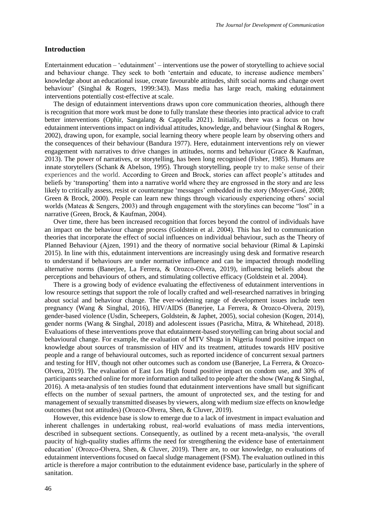### **Introduction**

Entertainment education – 'edutainment' – interventions use the power of storytelling to achieve social and behaviour change. They seek to both 'entertain and educate, to increase audience members' knowledge about an educational issue, create favourable attitudes, shift social norms and change overt behaviour' (Singhal & Rogers, 1999:343). Mass media has large reach, making edutainment interventions potentially cost-effective at scale.

The design of edutainment interventions draws upon core communication theories, although there is recognition that more work must be done to fully translate these theories into practical advice to craft better interventions (Ophir, Sangalang & Cappella 2021). Initially, there was a focus on how edutainment interventions impact on individual attitudes, knowledge, and behaviour (Singhal & Rogers, 2002), drawing upon, for example, social learning theory where people learn by observing others and the consequences of their behaviour (Bandura 1977). Here, edutainment interventions rely on viewer engagement with narratives to drive changes in attitudes, norms and behaviour (Grace  $\&$  Kaufman, 2013). The power of narratives, or storytelling, has been long recognised (Fisher, 1985). Humans are innate storytellers (Schank & Abelson, 1995). Through storytelling, people try to make sense of their experiences and the world. According to Green and Brock, stories can affect people's attitudes and beliefs by 'transporting' them into a narrative world where they are engrossed in the story and are less likely to critically assess, resist or counterargue 'messages' embedded in the story (Moyer-Gusé, 2008; Green & Brock, 2000). People can learn new things through vicariously experiencing others' social worlds (Mateas & Sengers, 2003) and through engagement with the storylines can become "lost" in a narrative (Green, Brock, & Kaufman, 2004).

Over time, there has been increased recognition that forces beyond the control of individuals have an impact on the behaviour change process (Goldstein et al. 2004). This has led to communication theories that incorporate the effect of social influences on individual behaviour, such as the Theory of Planned Behaviour (Ajzen, 1991) and the theory of normative social behaviour (Rimal & Lapinski 2015). In line with this, edutainment interventions are increasingly using desk and formative research to understand if behaviours are under normative influence and can be impacted through modelling alternative norms (Banerjee, La Ferrera, & Orozco-Olvera, 2019), influencing beliefs about the perceptions and behaviours of others, and stimulating collective efficacy (Goldstein et al. 2004).

There is a growing body of evidence evaluating the effectiveness of edutainment interventions in low resource settings that support the role of locally crafted and well-researched narratives in bringing about social and behaviour change. The ever-widening range of development issues include teen pregnancy (Wang & Singhal, 2016), HIV/AIDS (Banerjee, La Ferrera, & Orozco-Olvera, 2019), gender-based violence (Usdin, Scheepers, Goldstein, & Japhet, 2005), social cohesion (Kogen, 2014), gender norms (Wang & Singhal, 2018) and adolescent issues (Pasricha, Mitra, & Whitehead, 2018). Evaluations of these interventions prove that edutainment-based storytelling can bring about social and behavioural change. For example, the evaluation of MTV Shuga in Nigeria found positive impact on knowledge about sources of transmission of HIV and its treatment, attitudes towards HIV positive people and a range of behavioural outcomes, such as reported incidence of concurrent sexual partners and testing for HIV, though not other outcomes such as condom use (Banerjee, La Ferrera, & Orozco-Olvera, 2019). The evaluation of East Los High found positive impact on condom use, and 30% of participants searched online for more information and talked to people after the show (Wang & Singhal, 2016). A meta-analysis of ten studies found that edutainment interventions have small but significant effects on the number of sexual partners, the amount of unprotected sex, and the testing for and management of sexually transmitted diseases by viewers, along with medium size effects on knowledge outcomes (but not attitudes) (Orozco-Olvera, Shen, & Cluver, 2019).

However, this evidence base is slow to emerge due to a lack of investment in impact evaluation and inherent challenges in undertaking robust, real-world evaluations of mass media interventions, described in subsequent sections. Consequently, as outlined by a recent meta-analysis, 'the overall paucity of high-quality studies affirms the need for strengthening the evidence base of entertainment education' (Orozco-Olvera, Shen, & Cluver, 2019). There are, to our knowledge, no evaluations of edutainment interventions focused on faecal sludge management (FSM). The evaluation outlined in this article is therefore a major contribution to the edutainment evidence base, particularly in the sphere of sanitation.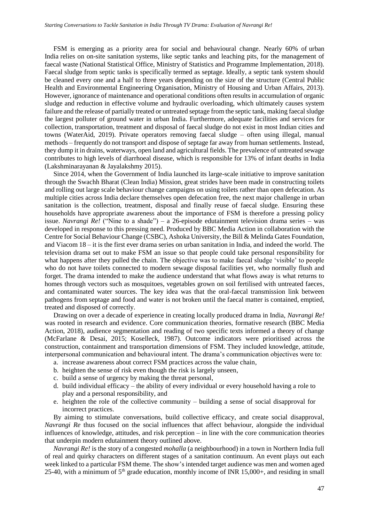FSM is emerging as a priority area for social and behavioural change. Nearly 60% of urban India relies on on-site sanitation systems, like septic tanks and leaching pits, for the management of faecal waste (National Statistical Office, Ministry of Statistics and Programme Implementation, 2018). Faecal sludge from septic tanks is specifically termed as septage. Ideally, a septic tank system should be cleaned every one and a half to three years depending on the size of the structure (Central Public Health and Environmental Engineering Organisation, Ministry of Housing and Urban Affairs, 2013). However, ignorance of maintenance and operational conditions often results in accumulation of organic sludge and reduction in effective volume and hydraulic overloading, which ultimately causes system failure and the release of partially treated or untreated septage from the septic tank, making faecal sludge the largest polluter of ground water in urban India. Furthermore, adequate facilities and services for collection, transportation, treatment and disposal of faecal sludge do not exist in most Indian cities and towns (WaterAid, 2019). Private operators removing faecal sludge – often using illegal, manual methods – frequently do not transport and dispose of septage far away from human settlements. Instead, they dump it in drains, waterways, open land and agricultural fields. The prevalence of untreated sewage contributes to high levels of diarrhoeal disease, which is responsible for 13% of infant deaths in India (Lakshminarayanan & Jayalakshmy 2015).

Since 2014, when the Government of India launched its large-scale initiative to improve sanitation through the Swachh Bharat (Clean India) Mission, great strides have been made in constructing toilets and rolling out large scale behaviour change campaigns on using toilets rather than open defecation. As multiple cities across India declare themselves open defecation free, the next major challenge in urban sanitation is the collection, treatment, disposal and finally reuse of faecal sludge. Ensuring these households have appropriate awareness about the importance of FSM is therefore a pressing policy issue. *Navrangi Re!* ("Nine to a shade") – a 26-episode edutainment television drama series – was developed in response to this pressing need. Produced by BBC Media Action in collaboration with the Centre for Social Behaviour Change (CSBC), Ashoka University, the Bill & Melinda Gates Foundation, and Viacom 18 – it is the first ever drama series on urban sanitation in India, and indeed the world. The television drama set out to make FSM an issue so that people could take personal responsibility for what happens after they pulled the chain. The objective was to make faecal sludge 'visible' to people who do not have toilets connected to modern sewage disposal facilities yet, who normally flush and forget. The drama intended to make the audience understand that what flows away is what returns to homes through vectors such as mosquitoes, vegetables grown on soil fertilised with untreated faeces, and contaminated water sources. The key idea was that the oral-faecal transmission link between pathogens from septage and food and water is not broken until the faecal matter is contained, emptied, treated and disposed of correctly.

Drawing on over a decade of experience in creating locally produced drama in India, *Navrangi Re!* was rooted in research and evidence. Core communication theories, formative research (BBC Media Action, 2018), audience segmentation and reading of two specific texts informed a theory of change (McFarlane & Desai, 2015; Koselleck, 1987). Outcome indicators were prioritised across the construction, containment and transportation dimensions of FSM. They included knowledge, attitude, interpersonal communication and behavioural intent. The drama's communication objectives were to:

- a. increase awareness about correct FSM practices across the value chain,
- b. heighten the sense of risk even though the risk is largely unseen,
- c. build a sense of urgency by making the threat personal,
- d. build individual efficacy the ability of every individual or every household having a role to play and a personal responsibility, and
- e. heighten the role of the collective community building a sense of social disapproval for incorrect practices.

By aiming to stimulate conversations, build collective efficacy, and create social disapproval, *Navrangi Re* thus focused on the social influences that affect behaviour, alongside the individual influences of knowledge, attitudes, and risk perception – in line with the core communication theories that underpin modern edutainment theory outlined above.

*Navrangi Re!* is the story of a congested *mohalla* (a neighbourhood) in a town in Northern India full of real and quirky characters on different stages of a sanitation continuum. An event plays out each week linked to a particular FSM theme. The show's intended target audience was men and women aged 25-40, with a minimum of  $5<sup>th</sup>$  grade education, monthly income of INR 15,000+, and residing in small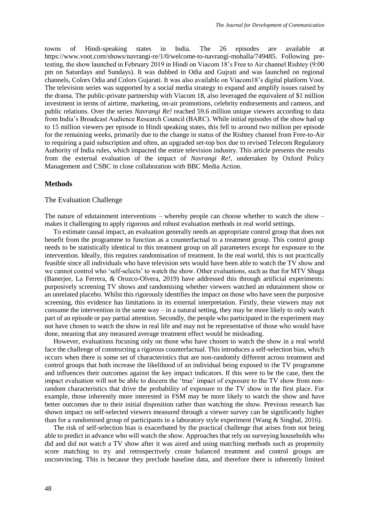towns of Hindi-speaking states in India. The 26 episodes are available at https://www.voot.com/shows/navrangi-re/1/0/welcome-to-navrangi-mohalla/749485. Following pretesting, the show launched in February 2019 in Hindi on Viacom 18's Free to Air channel Rishtey (9:00 pm on Saturdays and Sundays). It was dubbed in Odia and Gujrati and was launched on regional channels, Colors Odia and Colors Gujarati. It was also available on Viacom18's digital platform [Voot.](https://www.voot.com/shows/navrangi-re/1/749055) The television series was supported by a social media strategy to expand and amplify issues raised by the drama. The public-private partnership with Viacom 18, also leveraged the equivalent of \$1 million investment in terms of airtime, marketing, on-air promotions, celebrity endorsements and cameos, and public relations. Over the series *Navrangi Re!* reached 59.6 million unique viewers according to data from India's Broadcast Audience Research Council (BARC). While initial episodes of the show had up to 15 million viewers per episode in Hindi speaking states, this fell to around two million per episode for the remaining weeks, primarily due to the change in status of the Rishtey channel from Free-to-Air to requiring a paid subscription and often, an upgraded set-top box due to revised Telecom Regulatory Authority of India rules, which impacted the entire television industry. This article presents the results from the external evaluation of the impact of *Navrangi Re!*, undertaken by Oxford Policy Management and CSBC in close collaboration with BBC Media Action.

#### **Methods**

### The Evaluation Challenge

The nature of edutainment interventions – whereby people can choose whether to watch the show – makes it challenging to apply rigorous and robust evaluation methods in real world settings.

To estimate causal impact, an evaluation generally needs an appropriate control group that does not benefit from the programme to function as a counterfactual to a treatment group. This control group needs to be statistically identical to this treatment group on all parameters except for exposure to the intervention. Ideally, this requires randomisation of treatment. In the real world, this is not practically feasible since all individuals who have television sets would have been able to watch the TV show and we cannot control who 'self-selects' to watch the show. Other evaluations, such as that for MTV Shuga (Banerjee, La Ferrera, & Orozco-Olvera, 2019) have addressed this through artificial experiments: purposively screening TV shows and randomising whether viewers watched an edutainment show or an unrelated placebo. Whilst this rigorously identifies the impact on those who have seen the purposive screening, this evidence has limitations in its external interpretation. Firstly, these viewers may not consume the intervention in the same  $way - in a$  natural setting, they may be more likely to only watch part of an episode or pay partial attention. Secondly, the people who participated in the experiment may not have chosen to watch the show in real life and may not be representative of those who would have done, meaning that any measured average treatment effect would be misleading.

However, evaluations focusing only on those who have chosen to watch the show in a real world face the challenge of constructing a rigorous counterfactual. This introduces a self-selection bias, which occurs when there is some set of characteristics that are non-randomly different across treatment and control groups that both increase the likelihood of an individual being exposed to the TV programme and influences their outcomes against the key impact indicators. If this were to be the case, then the impact evaluation will not be able to discern the 'true' impact of exposure to the TV show from nonrandom characteristics that drive the probability of exposure to the TV show in the first place. For example, those inherently more interested in FSM may be more likely to watch the show and have better outcomes due to their initial disposition rather than watching the show. Previous research has shown impact on self-selected viewers measured through a viewer survey can be significantly higher than for a randomised group of participants in a laboratory style experiment (Wang & Singhal, 2016).

The risk of self-selection bias is exacerbated by the practical challenge that arises from not being able to predict in advance who will watch the show. Approaches that rely on surveying households who did and did not watch a TV show after it was aired and using matching methods such as propensity score matching to try and retrospectively create balanced treatment and control groups are unconvincing. This is because they preclude baseline data, and therefore there is inherently limited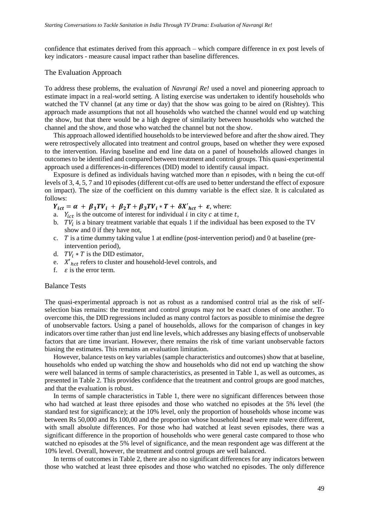confidence that estimates derived from this approach – which compare difference in ex post levels of key indicators - measure causal impact rather than baseline differences.

#### The Evaluation Approach

To address these problems, the evaluation of *Navrangi Re!* used a novel and pioneering approach to estimate impact in a real-world setting. A listing exercise was undertaken to identify households who watched the TV channel (at any time or day) that the show was going to be aired on (Rishtey). This approach made assumptions that not all households who watched the channel would end up watching the show, but that there would be a high degree of similarity between households who watched the channel and the show, and those who watched the channel but not the show.

This approach allowed identified households to be interviewed before and after the show aired. They were retrospectively allocated into treatment and control groups, based on whether they were exposed to the intervention. Having baseline and end line data on a panel of households allowed changes in outcomes to be identified and compared between treatment and control groups. This quasi-experimental approach used a differences-in-differences (DID) model to identify causal impact.

Exposure is defined as individuals having watched more than *n* episodes, with n being the cut-off levels of 3, 4, 5, 7 and 10 episodes (different cut-offs are used to better understand the effect of exposure on impact). The size of the coefficient on this dummy variable is the effect size. It is calculated as follows:

 $Y_{ict} = \alpha + \beta_1 TV_i + \beta_2 T + \beta_3 TV_i * T + \delta X'_{hct} + \varepsilon$ , where:

- a.  $Y_{ict}$  is the outcome of interest for individual *i* in city *c* at time *t*,
- b.  $TV_i$  is a binary treatment variable that equals 1 if the individual has been exposed to the TV show and 0 if they have not,
- c.  $T$  is a time dummy taking value 1 at endline (post-intervention period) and 0 at baseline (preintervention period),
- d.  $TV_i * T$  is the DID estimator,
- e.  $X'_{hct}$  refers to cluster and household-level controls, and f.  $\varepsilon$  is the error term.
- $\varepsilon$  is the error term.

### Balance Tests

The quasi-experimental approach is not as robust as a randomised control trial as the risk of selfselection bias remains: the treatment and control groups may not be exact clones of one another. To overcome this, the DID regressions included as many control factors as possible to minimise the degree of unobservable factors. Using a panel of households, allows for the comparison of changes in key indicators over time rather than just end line levels, which addresses any biasing effects of unobservable factors that are time invariant. However, there remains the risk of time variant unobservable factors biasing the estimates. This remains an evaluation limitation.

However, balance tests on key variables (sample characteristics and outcomes) show that at baseline, households who ended up watching the show and households who did not end up watching the show were well balanced in terms of sample characteristics, as presented in Table 1, as well as outcomes, as presented in Table 2. This provides confidence that the treatment and control groups are good matches, and that the evaluation is robust.

In terms of sample characteristics in Table 1, there were no significant differences between those who had watched at least three episodes and those who watched no episodes at the 5% level (the standard test for significance); at the 10% level, only the proportion of households whose income was between Rs 50,000 and Rs 100,00 and the proportion whose household head were male were different, with small absolute differences. For those who had watched at least seven episodes, there was a significant difference in the proportion of households who were general caste compared to those who watched no episodes at the 5% level of significance, and the mean respondent age was different at the 10% level. Overall, however, the treatment and control groups are well balanced.

In terms of outcomes in Table 2, there are also no significant differences for any indicators between those who watched at least three episodes and those who watched no episodes. The only difference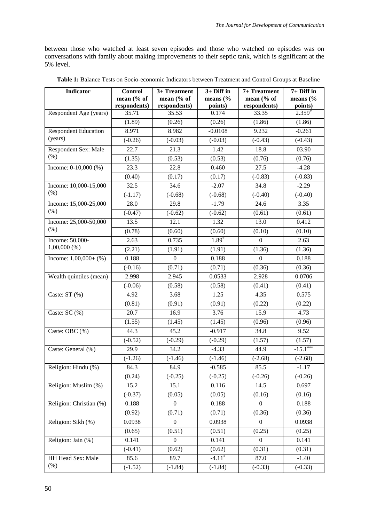between those who watched at least seven episodes and those who watched no episodes was on conversations with family about making improvements to their septic tank, which is significant at the 5% level.

| <b>Indicator</b>            | Control      | 3+ Treatment     | $3+$ Diff in        | 7+ Treatment   | $7+$ Diff in |
|-----------------------------|--------------|------------------|---------------------|----------------|--------------|
|                             | mean (% of   | mean (% of       | means $\frac{6}{6}$ | mean (% of     | means $(\%$  |
|                             | respondents) | respondents)     | points)             | respondents)   | points)      |
| Respondent Age (years)      | 35.71        | 35.53            | 0.174               | 33.35          | $2.359*$     |
|                             | (1.89)       | (0.26)           | (0.26)              | (1.86)         | (1.86)       |
| <b>Respondent Education</b> | 8.971        | 8.982            | $-0.0108$           | 9.232          | $-0.261$     |
| (years)                     | $(-0.26)$    | $(-0.03)$        | $(-0.03)$           | $(-0.43)$      | $(-0.43)$    |
| <b>Respondent Sex: Male</b> | 22.7         | 21.3             | 1.42                | 18.8           | 03.90        |
| $(\%)$                      | (1.35)       | (0.53)           | (0.53)              | (0.76)         | (0.76)       |
| Income: $0-10,000$ (%)      | 23.3         | 22.8             | 0.460               | 27.5           | $-4.28$      |
|                             | (0.40)       | (0.17)           | (0.17)              | $(-0.83)$      | $(-0.83)$    |
| Income: 10,000-15,000       | 32.5         | 34.6             | $-2.07$             | 34.8           | $-2.29$      |
| (% )                        | $(-1.17)$    | $(-0.68)$        | $(-0.68)$           | $(-0.40)$      | $(-0.40)$    |
| Income: 15,000-25,000       | 28.0         | 29.8             | $-1.79$             | 24.6           | 3.35         |
| $(\% )$                     | $(-0.47)$    | $(-0.62)$        | $(-0.62)$           | (0.61)         | (0.61)       |
| Income: 25,000-50,000       | 13.5         | 12.1             | 1.32                | 13.0           | 0.412        |
| $(\% )$                     | (0.78)       | (0.60)           | (0.60)              | (0.10)         | (0.10)       |
| Income: 50,000-             | 2.63         | 0.735            | 1.89*               | $\Omega$       | 2.63         |
| $1,00,000$ (%)              | (2.21)       | (1.91)           | (1.91)              | (1.36)         | (1.36)       |
| Income: $1,00,000+$ (%)     | 0.188        | $\mathbf{0}$     | 0.188               | $\overline{0}$ | 0.188        |
|                             | $(-0.16)$    | (0.71)           | (0.71)              | (0.36)         | (0.36)       |
| Wealth quintiles (mean)     | 2.998        | 2.945            | 0.0533              | 2.928          | 0.0706       |
|                             | $(-0.06)$    | (0.58)           | (0.58)              | (0.41)         | (0.41)       |
| Caste: ST (%)               | 4.92         | 3.68             | 1.25                | 4.35           | 0.575        |
|                             | (0.81)       | (0.91)           | (0.91)              | (0.22)         | (0.22)       |
| Caste: SC (%)               | 20.7         | 16.9             | 3.76                | 15.9           | 4.73         |
|                             | (1.55)       | (1.45)           | (1.45)              | (0.96)         | (0.96)       |
| Caste: OBC (%)              | 44.3         | 45.2             | $-0.917$            | 34.8           | 9.52         |
|                             | $(-0.52)$    | $(-0.29)$        | $(-0.29)$           | (1.57)         | (1.57)       |
| Caste: General (%)          | 29.9         | 34.2             | $-4.33$             | 44.9           | $-15.1***$   |
|                             | $(-1.26)$    | $(-1.46)$        | $(-1.46)$           | $(-2.68)$      | $(-2.68)$    |
| Religion: Hindu (%)         | 84.3         | 84.9             | $-0.585$            | 85.5           | $-1.17$      |
|                             | (0.24)       | $(-0.25)$        | $(-0.25)$           | $(-0.26)$      | $(-0.26)$    |
| Religion: Muslim (%)        | 15.2         | 15.1             | 0.116               | 14.5           | 0.697        |
|                             | $(-0.37)$    | (0.05)           | (0.05)              | (0.16)         | (0.16)       |
| Religion: Christian (%)     | 0.188        | $\boldsymbol{0}$ | 0.188               | $\Omega$       | 0.188        |
|                             | (0.92)       | (0.71)           | (0.71)              | (0.36)         | (0.36)       |
| Religion: Sikh (%)          | 0.0938       | $\mathbf{0}$     | 0.0938              | $\Omega$       | 0.0938       |
|                             | (0.65)       | (0.51)           | (0.51)              | (0.25)         | (0.25)       |
| Religion: Jain (%)          | 0.141        | $\overline{0}$   | 0.141               | $\Omega$       | 0.141        |
|                             | $(-0.41)$    | (0.62)           | (0.62)              | (0.31)         | (0.31)       |
| HH Head Sex: Male           | 85.6         | 89.7             | $-4.11*$            | 87.0           | $-1.40$      |
| $(\%)$                      | $(-1.52)$    | $(-1.84)$        | $(-1.84)$           | $(-0.33)$      | $(-0.33)$    |

**Table 1:** Balance Tests on Socio-economic Indicators between Treatment and Control Groups at Baseline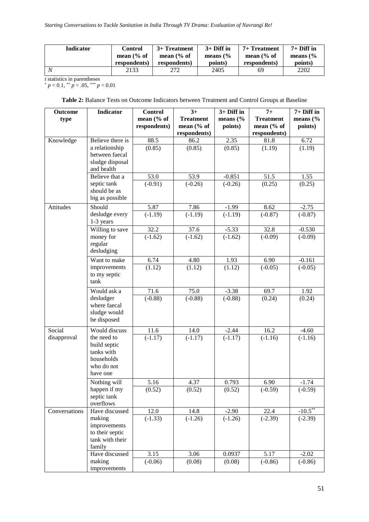| <b>Indicator</b> | Control               | 3+ Treatment          | $3+$ Diff in        | $7+$ Treatment        | $7+$ Diff in        |
|------------------|-----------------------|-----------------------|---------------------|-----------------------|---------------------|
|                  | mean $\frac{6}{6}$ of | mean $\frac{6}{6}$ of | means $\frac{6}{6}$ | mean $\frac{6}{6}$ of | means $\frac{6}{6}$ |
|                  | respondents)          | respondents)          | points)             | respondents)          | points)             |
|                  | 2133                  | 272                   | 2405                | 69                    | 2202                |

*t* statistics in parentheses

 $p < 0.1$ ,  $\binom{**}{p} < .05$ ,  $\binom{***}{p} < 0.01$ 

**Table 2:** Balance Tests on Outcome Indicators between Treatment and Control Groups at Baseline

| <b>Outcome</b> | <b>Indicator</b>             | <b>Control</b>    | $3+$             | 3+ Diff in           | $7+$             | 7+ Diff in          |
|----------------|------------------------------|-------------------|------------------|----------------------|------------------|---------------------|
| type           |                              | mean (% of        | <b>Treatment</b> | means $(\%$          | <b>Treatment</b> | means $\frac{6}{6}$ |
|                |                              | respondents)      | mean (% of       | points)              | mean $%$ of      | points)             |
|                |                              |                   | respondents)     |                      | respondents)     |                     |
| Knowledge      | Believe there is             | 88.5              | 86.2             | 2.35                 | 81.8             | 6.72                |
|                | a relationship               | (0.85)            | (0.85)           | (0.85)               | (1.19)           | (1.19)              |
|                | between faecal               |                   |                  |                      |                  |                     |
|                | sludge disposal              |                   |                  |                      |                  |                     |
|                | and health<br>Believe that a | 53.0              | 53.9             | $-0.851$             | 51.5             | 1.55                |
|                | septic tank                  | $(-0.91)$         | $(-0.26)$        | $(-0.26)$            | (0.25)           | (0.25)              |
|                | should be as                 |                   |                  |                      |                  |                     |
|                | big as possible              |                   |                  |                      |                  |                     |
| Attitudes      | Should                       | 5.87              | 7.86             | $-1.99$              | 8.62             | $-2.75$             |
|                | desludge every               | $(-1.19)$         | $(-1.19)$        | $\overline{(-1.19)}$ | $(-0.87)$        | $(-0.87)$           |
|                | 1-3 years                    |                   |                  |                      |                  |                     |
|                | Willing to save              | $\overline{32.2}$ | 37.6             | $-5.33$              | 32.8             | $-0.530$            |
|                | money for                    | $(-1.62)$         | $(-1.62)$        | $(-1.62)$            | $(-0.09)$        | $(-0.09)$           |
|                | regular                      |                   |                  |                      |                  |                     |
|                | desludging                   |                   |                  |                      |                  |                     |
|                | Want to make                 | 6.74              | 4.80             | 1.93                 | 6.90             | $-0.161$            |
|                | improvements                 | (1.12)            | (1.12)           | (1.12)               | $(-0.05)$        | $(-0.05)$           |
|                | to my septic                 |                   |                  |                      |                  |                     |
|                | tank                         |                   |                  |                      |                  |                     |
|                | Would ask a                  | 71.6              | 75.0             | $-3.38$              | 69.7             | 1.92                |
|                | desludger                    | $(-0.88)$         | $(-0.88)$        | $(-0.88)$            | (0.24)           | (0.24)              |
|                | where faecal                 |                   |                  |                      |                  |                     |
|                | sludge would                 |                   |                  |                      |                  |                     |
|                | be disposed                  |                   |                  |                      |                  |                     |
| Social         | Would discuss                | 11.6              | 14.0             | $-2.44$              | 16.2             | $-4.60$             |
| disapproval    | the need to                  | $(-1.17)$         | $(-1.17)$        | $(-1.17)$            | $(-1.16)$        | $(-1.16)$           |
|                | build septic                 |                   |                  |                      |                  |                     |
|                | tanks with                   |                   |                  |                      |                  |                     |
|                | households                   |                   |                  |                      |                  |                     |
|                | who do not<br>have one       |                   |                  |                      |                  |                     |
|                |                              | 5.16              | 4.37             | 0.793                | 6.90             | $-1.74$             |
|                | Nothing will<br>happen if my |                   |                  |                      |                  |                     |
|                | septic tank                  | (0.52)            | (0.52)           | (0.52)               | $(-0.59)$        | $(-0.59)$           |
|                | overflows                    |                   |                  |                      |                  |                     |
| Conversations  | Have discussed               | 12.0              | 14.8             | $-2.90$              | 22.4             | $-10.5***$          |
|                | making                       | $(-1.33)$         | $(-1.26)$        | $(-1.26)$            | $(-2.39)$        | $(-2.39)$           |
|                | improvements                 |                   |                  |                      |                  |                     |
|                | to their septic              |                   |                  |                      |                  |                     |
|                | tank with their              |                   |                  |                      |                  |                     |
|                | family                       |                   |                  |                      |                  |                     |
|                | Have discussed               | 3.15              | 3.06             | 0.0937               | 5.17             | $-2.02$             |
|                | making                       | $(-0.06)$         | (0.08)           | (0.08)               | $(-0.86)$        | $(-0.86)$           |
|                | improvements                 |                   |                  |                      |                  |                     |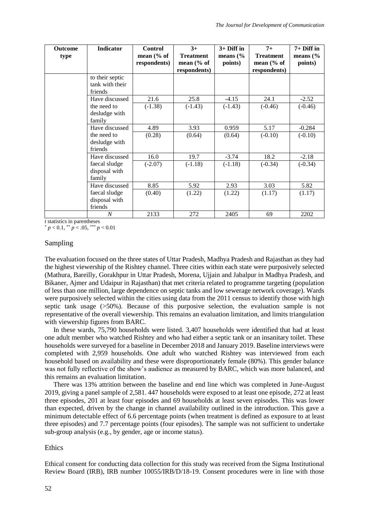| <b>Outcome</b><br>type | Indicator                                     | <b>Control</b><br>mean $(\%$ of | $3+$<br><b>Treatment</b>      | $3+$ Diff in<br>means $\frac{6}{6}$ | $7+$<br><b>Treatment</b>      | $7+$ Diff in<br>means $\frac{6}{6}$ |
|------------------------|-----------------------------------------------|---------------------------------|-------------------------------|-------------------------------------|-------------------------------|-------------------------------------|
|                        |                                               | respondents)                    | mean $(\%$ of<br>respondents) | points)                             | mean $(\%$ of<br>respondents) | points)                             |
|                        | to their septic<br>tank with their<br>friends |                                 |                               |                                     |                               |                                     |
|                        | Have discussed                                | 21.6                            | 25.8                          | $-4.15$                             | 24.1                          | $-2.52$                             |
|                        | the need to<br>desludge with<br>family        | $(-1.38)$                       | $(-1.43)$                     | $(-1.43)$                           | $(-0.46)$                     | $(-0.46)$                           |
|                        | Have discussed                                | 4.89                            | 3.93                          | 0.959                               | 5.17                          | $-0.284$                            |
|                        | the need to<br>desludge with<br>friends       | (0.28)                          | (0.64)                        | (0.64)                              | $(-0.10)$                     | $(-0.10)$                           |
|                        | Have discussed                                | 16.0                            | 19.7                          | $-3.74$                             | 18.2                          | $-2.18$                             |
|                        | faecal sludge<br>disposal with<br>family      | $(-2.07)$                       | $(-1.18)$                     | $(-1.18)$                           | $(-0.34)$                     | $(-0.34)$                           |
|                        | Have discussed                                | 8.85                            | 5.92                          | 2.93                                | 3.03                          | 5.82                                |
|                        | faecal sludge<br>disposal with<br>friends     | (0.40)                          | (1.22)                        | (1.22)                              | (1.17)                        | (1.17)                              |
|                        | $\boldsymbol{N}$                              | 2133                            | 272                           | 2405                                | 69                            | 2202                                |

*t* statistics in parentheses

 $p < 0.1$ , \*\*  $p < .05$ , \*\*\*  $p < 0.01$ 

### Sampling

The evaluation focused on the three states of Uttar Pradesh, Madhya Pradesh and Rajasthan as they had the highest viewership of the Rishtey channel. Three cities within each state were purposively selected (Mathura, Bareilly, Gorakhpur in Uttar Pradesh, Morena, Ujjain and Jabalpur in Madhya Pradesh, and Bikaner, Ajmer and Udaipur in Rajasthan) that met criteria related to programme targeting (population of less than one million, large dependence on septic tanks and low sewerage network coverage). Wards were purposively selected within the cities using data from the 2011 census to identify those with high septic tank usage (>50%). Because of this purposive selection, the evaluation sample is not representative of the overall viewership. This remains an evaluation limitation, and limits triangulation with viewership figures from BARC.

In these wards, 75,790 households were listed. 3,407 households were identified that had at least one adult member who watched Rishtey and who had either a septic tank or an insanitary toilet. These households were surveyed for a baseline in December 2018 and January 2019. Baseline interviews were completed with 2,959 households. One adult who watched Rishtey was interviewed from each household based on availability and these were disproportionately female (80%). This gender balance was not fully reflective of the show's audience as measured by BARC, which was more balanced, and this remains an evaluation limitation.

There was 13% attrition between the baseline and end line which was completed in June-August 2019, giving a panel sample of 2,581. 447 households were exposed to at least one episode, 272 at least three episodes, 201 at least four episodes and 69 households at least seven episodes. This was lower than expected, driven by the change in channel availability outlined in the introduction. This gave a minimum detectable effect of 6.6 percentage points (when treatment is defined as exposure to at least three episodes) and 7.7 percentage points (four episodes). The sample was not sufficient to undertake sub-group analysis (e.g., by gender, age or income status).

### Ethics

Ethical consent for conducting data collection for this study was received from the Sigma Institutional Review Board (IRB), IRB number 10055/IRB/D/18-19. Consent procedures were in line with those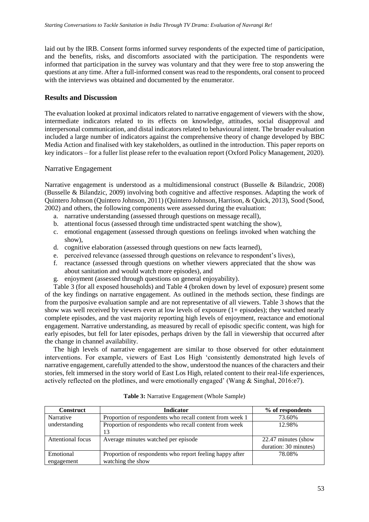laid out by the IRB. Consent forms informed survey respondents of the expected time of participation, and the benefits, risks, and discomforts associated with the participation. The respondents were informed that participation in the survey was voluntary and that they were free to stop answering the questions at any time. After a full-informed consent was read to the respondents, oral consent to proceed with the interviews was obtained and documented by the enumerator.

# **Results and Discussion**

The evaluation looked at proximal indicators related to narrative engagement of viewers with the show, intermediate indicators related to its effects on knowledge, attitudes, social disapproval and interpersonal communication, and distal indicators related to behavioural intent. The broader evaluation included a large number of indicators against the comprehensive theory of change developed by BBC Media Action and finalised with key stakeholders, as outlined in the introduction. This paper reports on key indicators – for a fuller list please refer to the evaluation report (Oxford Policy Management, 2020).

### Narrative Engagement

Narrative engagement is understood as a multidimensional construct (Busselle & Bilandzic, 2008) (Busselle & Bilandzic, 2009) involving both cognitive and affective responses. Adapting the work of Quintero Johnson (Quintero Johnson, 2011) (Quintero Johnson, Harrison, & Quick, 2013), Sood (Sood, 2002) and others, the following components were assessed during the evaluation:

- a. narrative understanding (assessed through questions on message recall),
- b. attentional focus (assessed through time undistracted spent watching the show),
- c. emotional engagement (assessed through questions on feelings invoked when watching the show),
- d. cognitive elaboration (assessed through questions on new facts learned),
- e. perceived relevance (assessed through questions on relevance to respondent's lives),
- f. reactance (assessed through questions on whether viewers appreciated that the show was about sanitation and would watch more episodes), and
- g. enjoyment (assessed through questions on general enjoyability).

Table 3 (for all exposed households) and Table 4 (broken down by level of exposure) present some of the key findings on narrative engagement. As outlined in the methods section, these findings are from the purposive evaluation sample and are not representative of all viewers. Table 3 shows that the show was well received by viewers even at low levels of exposure (1+ episodes); they watched nearly complete episodes, and the vast majority reporting high levels of enjoyment, reactance and emotional engagement. Narrative understanding, as measured by recall of episodic specific content, was high for early episodes, but fell for later episodes, perhaps driven by the fall in viewership that occurred after the change in channel availability.

The high levels of narrative engagement are similar to those observed for other edutainment interventions. For example, viewers of East Los High 'consistently demonstrated high levels of narrative engagement, carefully attended to the show, understood the nuances of the characters and their stories, felt immersed in the story world of East Los High, related content to their real-life experiences, actively reflected on the plotlines, and were emotionally engaged' (Wang & Singhal, 2016:e7).

| <b>Construct</b>  | <b>Indicator</b>                                         | % of respondents      |
|-------------------|----------------------------------------------------------|-----------------------|
| Narrative         | Proportion of respondents who recall content from week 1 | 73.60%                |
| understanding     | Proportion of respondents who recall content from week   | 12.98%                |
|                   | 13                                                       |                       |
| Attentional focus | Average minutes watched per episode                      | 22.47 minutes (show)  |
|                   |                                                          | duration: 30 minutes) |
| Emotional         | Proportion of respondents who report feeling happy after | 78.08%                |
| engagement        | watching the show                                        |                       |

### **Table 3:** Narrative Engagement (Whole Sample)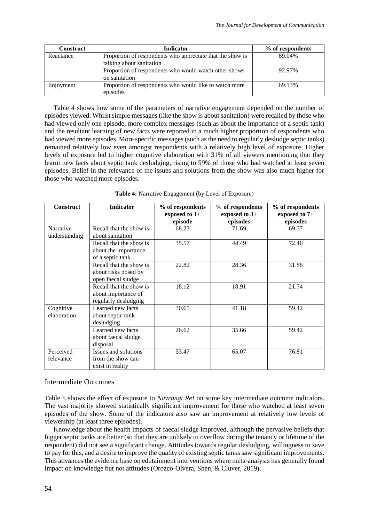| <b>Construct</b> | <b>Indicator</b>                                                                      | % of respondents |
|------------------|---------------------------------------------------------------------------------------|------------------|
| Reactance        | Proportion of respondents who appreciate that the show is<br>talking about sanitation | 89.04%           |
|                  | Proportion of respondents who would watch other shows<br>on sanitation                | 92.97%           |
| Enjoyment        | Proportion of respondents who would like to watch more<br>episodes                    | 69.13%           |

Table 4 shows how some of the parameters of narrative engagement depended on the number of episodes viewed. Whilst simple messages (like the show is about sanitation) were recalled by those who had viewed only one episode, more complex messages (such as about the importance of a septic tank) and the resultant learning of new facts were reported in a much higher proportion of respondents who had viewed more episodes. More specific messages (such as the need to regularly desludge septic tanks) remained relatively low even amongst respondents with a relatively high level of exposure. Higher levels of exposure led to higher cognitive elaboration with 31% of all viewers mentioning that they learnt new facts about septic tank desludging, rising to 59% of those who had watched at least seven episodes. Belief in the relevance of the issues and solutions from the show was also much higher for those who watched more episodes.

| <b>Construct</b>           | <b>Indicator</b>                                                       | % of respondents<br>exposed to $1+$<br>episode | % of respondents<br>exposed to $3+$<br>episodes | % of respondents<br>exposed to 7+<br>episodes |
|----------------------------|------------------------------------------------------------------------|------------------------------------------------|-------------------------------------------------|-----------------------------------------------|
| Narrative<br>understanding | Recall that the show is<br>about sanitation                            | 68.23                                          | 71.69                                           | 69.57                                         |
|                            | Recall that the show is<br>about the importance<br>of a septic tank    | 35.57                                          | 44.49                                           | 72.46                                         |
|                            | Recall that the show is<br>about risks posed by<br>open faecal sludge  | 22.82                                          | 28.36                                           | 31.88                                         |
|                            | Recall that the show is<br>about importance of<br>regularly desludging | 18.12                                          | 18.91                                           | 21.74                                         |
| Cognitive<br>elaboration   | Learned new facts<br>about septic tank<br>desludging                   | 30.65                                          | 41.18                                           | 59.42                                         |
|                            | Learned new facts<br>about faecal sludge<br>disposal                   | 26.62                                          | 35.66                                           | 59.42                                         |
| Perceived<br>relevance     | <b>Issues and solutions</b><br>from the show can<br>exist in reality   | 53.47                                          | 65.07                                           | 76.81                                         |

**Table 4:** Narrative Engagement (by Level of Exposure)

### Intermediate Outcomes

Table 5 shows the effect of exposure to *Navrangi Re!* on some key intermediate outcome indicators. The vast majority showed statistically significant improvement for those who watched at least seven episodes of the show. Some of the indicators also saw an improvement at relatively low levels of viewership (at least three episodes).

Knowledge about the health impacts of faecal sludge improved, although the pervasive beliefs that bigger septic tanks are better (so that they are unlikely to overflow during the tenancy or lifetime of the respondent) did not see a significant change. Attitudes towards regular desludging, willingness to save to pay for this, and a desire to improve the quality of existing septic tanks saw significant improvements. This advances the evidence base on edutainment interventions where meta-analysis has generally found impact on knowledge but not attitudes (Orozco-Olvera, Shen, & Cluver, 2019).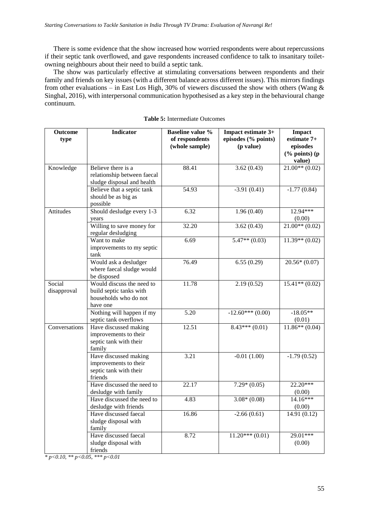There is some evidence that the show increased how worried respondents were about repercussions if their septic tank overflowed, and gave respondents increased confidence to talk to insanitary toiletowning neighbours about their need to build a septic tank.

The show was particularly effective at stimulating conversations between respondents and their family and friends on key issues (with a different balance across different issues). This mirrors findings from other evaluations – in East Los High, 30% of viewers discussed the show with others (Wang  $\&$ Singhal, 2016), with interpersonal communication hypothesised as a key step in the behavioural change continuum.

| Outcome       | <b>Indicator</b>                                                                                                                                                                                                                                             | <b>Baseline value %</b><br>of respondents | Impact estimate 3+<br>episodes (% points)                                              | Impact<br>estimate 7+                                                                 |
|---------------|--------------------------------------------------------------------------------------------------------------------------------------------------------------------------------------------------------------------------------------------------------------|-------------------------------------------|----------------------------------------------------------------------------------------|---------------------------------------------------------------------------------------|
| type          |                                                                                                                                                                                                                                                              | (whole sample)                            | (p value)                                                                              | episodes                                                                              |
|               |                                                                                                                                                                                                                                                              |                                           |                                                                                        | $(% \mathbf{p}$ (% points) (p                                                         |
|               |                                                                                                                                                                                                                                                              |                                           |                                                                                        | value)                                                                                |
| Knowledge     | Believe there is a                                                                                                                                                                                                                                           | 88.41                                     | 3.62(0.43)                                                                             | $\overline{21.00^{**}(0.02)}$                                                         |
|               | relationship between faecal                                                                                                                                                                                                                                  |                                           |                                                                                        |                                                                                       |
|               | sludge disposal and health                                                                                                                                                                                                                                   |                                           |                                                                                        |                                                                                       |
|               | Believe that a septic tank                                                                                                                                                                                                                                   | 54.93                                     | $-3.91(0.41)$                                                                          | $-1.77(0.84)$                                                                         |
|               | should be as big as                                                                                                                                                                                                                                          |                                           |                                                                                        |                                                                                       |
|               | possible                                                                                                                                                                                                                                                     |                                           |                                                                                        |                                                                                       |
| Attitudes     | Should desludge every 1-3                                                                                                                                                                                                                                    | 6.32                                      | 1.96(0.40)                                                                             | 12.94***                                                                              |
|               | vears                                                                                                                                                                                                                                                        | 32.20                                     |                                                                                        | (0.00)<br>$21.00**$ (0.02)                                                            |
|               | Willing to save money for<br>regular desludging                                                                                                                                                                                                              |                                           | 3.62(0.43)                                                                             |                                                                                       |
|               | Want to make                                                                                                                                                                                                                                                 | 6.69                                      | $5.47**$ (0.03)                                                                        | $11.39**$ (0.02)                                                                      |
|               | improvements to my septic                                                                                                                                                                                                                                    |                                           |                                                                                        |                                                                                       |
|               | tank<br>Would ask a desludger                                                                                                                                                                                                                                | 76.49                                     | 6.55(0.29)                                                                             | $20.56*(0.07)$                                                                        |
|               | where faecal sludge would                                                                                                                                                                                                                                    |                                           |                                                                                        |                                                                                       |
|               | be disposed                                                                                                                                                                                                                                                  |                                           |                                                                                        |                                                                                       |
| Social        | Would discuss the need to                                                                                                                                                                                                                                    | 11.78                                     | 2.19(0.52)                                                                             | $15.41**$ (0.02)                                                                      |
| disapproval   | build septic tanks with                                                                                                                                                                                                                                      |                                           |                                                                                        |                                                                                       |
|               | households who do not                                                                                                                                                                                                                                        |                                           |                                                                                        |                                                                                       |
|               | have one                                                                                                                                                                                                                                                     |                                           |                                                                                        |                                                                                       |
|               | Nothing will happen if my                                                                                                                                                                                                                                    | 5.20                                      | $-12.60***(0.00)$                                                                      | $-18.05**$                                                                            |
|               | septic tank overflows                                                                                                                                                                                                                                        |                                           |                                                                                        | (0.01)                                                                                |
|               |                                                                                                                                                                                                                                                              |                                           |                                                                                        |                                                                                       |
|               |                                                                                                                                                                                                                                                              |                                           |                                                                                        |                                                                                       |
|               |                                                                                                                                                                                                                                                              |                                           |                                                                                        |                                                                                       |
|               |                                                                                                                                                                                                                                                              |                                           |                                                                                        |                                                                                       |
|               |                                                                                                                                                                                                                                                              |                                           |                                                                                        |                                                                                       |
|               |                                                                                                                                                                                                                                                              |                                           |                                                                                        |                                                                                       |
|               | friends                                                                                                                                                                                                                                                      |                                           |                                                                                        |                                                                                       |
|               | Have discussed the need to                                                                                                                                                                                                                                   | 22.17                                     |                                                                                        |                                                                                       |
|               | desludge with family                                                                                                                                                                                                                                         |                                           |                                                                                        | (0.00)                                                                                |
|               | Have discussed the need to                                                                                                                                                                                                                                   | 4.83                                      | $3.08*(0.08)$                                                                          | 14.16***                                                                              |
|               | desludge with friends                                                                                                                                                                                                                                        |                                           |                                                                                        | (0.00)                                                                                |
|               | Have discussed faecal                                                                                                                                                                                                                                        |                                           |                                                                                        |                                                                                       |
|               |                                                                                                                                                                                                                                                              |                                           |                                                                                        |                                                                                       |
|               |                                                                                                                                                                                                                                                              |                                           |                                                                                        |                                                                                       |
|               |                                                                                                                                                                                                                                                              |                                           |                                                                                        |                                                                                       |
|               |                                                                                                                                                                                                                                                              |                                           |                                                                                        |                                                                                       |
| Conversations | Have discussed making<br>improvements to their<br>septic tank with their<br>family<br>Have discussed making<br>improvements to their<br>septic tank with their<br>sludge disposal with<br>family<br>Have discussed faecal<br>sludge disposal with<br>friends | 12.51<br>3.21<br>16.86<br>8.72            | $8.43***(0.01)$<br>$-0.01(1.00)$<br>$7.29*(0.05)$<br>$-2.66(0.61)$<br>$11.20***(0.01)$ | $11.86**$ (0.04)<br>$-1.79(0.52)$<br>$22.20***$<br>14.91 (0.12)<br>29.01***<br>(0.00) |

*\* p<0.10, \*\* p<0.05, \*\*\* p<0.01*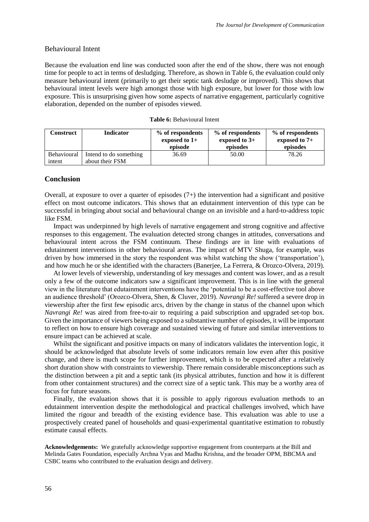# Behavioural Intent

Because the evaluation end line was conducted soon after the end of the show, there was not enough time for people to act in terms of desludging. Therefore, as shown in Table 6, the evaluation could only measure behavioural intent (primarily to get their septic tank desludge or improved). This shows that behavioural intent levels were high amongst those with high exposure, but lower for those with low exposure. This is unsurprising given how some aspects of narrative engagement, particularly cognitive elaboration, depended on the number of episodes viewed.

| Construct                    | <b>Indicator</b>                          | % of respondents<br>exposed to $1+$<br>episode | % of respondents<br>exposed to $3+$<br>episodes | % of respondents<br>exposed to $7+$<br>episodes |
|------------------------------|-------------------------------------------|------------------------------------------------|-------------------------------------------------|-------------------------------------------------|
| <b>Behavioural</b><br>intent | Intend to do something<br>about their FSM | 36.69                                          | 50.00                                           | 78.26                                           |

#### **Table 6:** Behavioural Intent

### **Conclusion**

Overall, at exposure to over a quarter of episodes (7+) the intervention had a significant and positive effect on most outcome indicators. This shows that an edutainment intervention of this type can be successful in bringing about social and behavioural change on an invisible and a hard-to-address topic like FSM.

Impact was underpinned by high levels of narrative engagement and strong cognitive and affective responses to this engagement. The evaluation detected strong changes in attitudes, conversations and behavioural intent across the FSM continuum. These findings are in line with evaluations of edutainment interventions in other behavioural areas. The impact of MTV Shuga, for example, was driven by how immersed in the story the respondent was whilst watching the show ('transportation'), and how much he or she identified with the characters (Banerjee, La Ferrera, & Orozco-Olvera, 2019).

At lower levels of viewership, understanding of key messages and content was lower, and as a result only a few of the outcome indicators saw a significant improvement. This is in line with the general view in the literature that edutainment interventions have the 'potential to be a cost-effective tool above an audience threshold' (Orozco-Olvera, Shen, & Cluver, 2019). *Navrangi Re!* suffered a severe drop in viewership after the first few episodic arcs, driven by the change in status of the channel upon which *Navrangi Re!* was aired from free-to-air to requiring a paid subscription and upgraded set-top box. Given the importance of viewers being exposed to a substantive number of episodes, it will be important to reflect on how to ensure high coverage and sustained viewing of future and similar interventions to ensure impact can be achieved at scale.

Whilst the significant and positive impacts on many of indicators validates the intervention logic, it should be acknowledged that absolute levels of some indicators remain low even after this positive change, and there is much scope for further improvement, which is to be expected after a relatively short duration show with constraints to viewership. There remain considerable misconceptions such as the distinction between a pit and a septic tank (its physical attributes, function and how it is different from other containment structures) and the correct size of a septic tank. This may be a worthy area of focus for future seasons.

Finally, the evaluation shows that it is possible to apply rigorous evaluation methods to an edutainment intervention despite the methodological and practical challenges involved, which have limited the rigour and breadth of the existing evidence base. This evaluation was able to use a prospectively created panel of households and quasi-experimental quantitative estimation to robustly estimate causal effects.

**Acknowledgements:** We gratefully acknowledge supportive engagement from counterparts at the Bill and Melinda Gates Foundation, especially Archna Vyas and Madhu Krishna, and the broader OPM, BBCMA and CSBC teams who contributed to the evaluation design and delivery.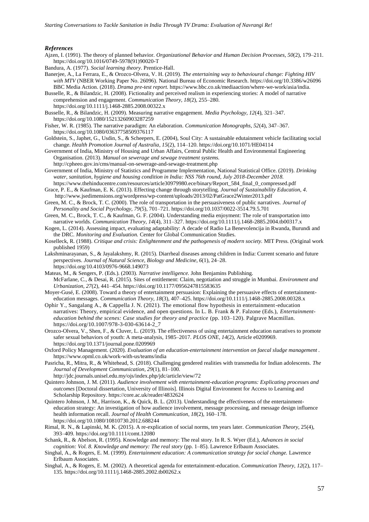#### *References*

- Ajzen, I. (1991). The theory of planned behavior. *Organizational Behavior and Human Decision Processes, 50*(2), 179–211. https://doi.org/10.1016/0749-5978(91)90020-T
- Bandura, A. (1977). *Social learning theory*. Prentice-Hall.
- Banerjee, A., La Ferrara, E., & Orozco-Olvera, V. H. (2019). *The entertaining way to behavioural change: Fighting HIV with MTV* (NBER Working Paper No. 26096). National Bureau of Economic Research. https://doi.org/10.3386/w26096 BBC Media Action. (2018). *Drama pre-test report.* https://www.bbc.co.uk/mediaaction/where-we-work/asia/india.
- Busselle, R., & Bilandzic, H. (2008). Fictionality and perceived realism in experiencing stories: A model of narrative comprehension and engagement. *Communication Theory, 18*(2), 255–280. https://doi.org/10.1111/j.1468-2885.2008.00322.x
- Busselle, R., & Bilandzic, H. (2009). Measuring narrative engagement. *Media Psychology, 12*(4), 321–347. https://doi.org/10.1080/15213260903287259
- Fisher, W. R. (1985). The narrative paradigm: An elaboration. *Communication Monographs, 52*(4), 347–367. https://doi.org/10.1080/03637758509376117
- Goldstein, S., Japhet, G., Usdin, S., & Scheepers, E. (2004), Soul City: A sustainable edutainment vehicle facilitating social change. *Health Promotion Journal of Australia*, *15*(2), 114–120. https://doi.org/10.1071/HE04114
- Government of India, Ministry of Housing and Urban Affairs, Central Public Health and Environmental Engineering Organisation. (2013). *Manual on sewerage and sewage treatment systems.*
- http://cpheeo.gov.in/cms/manual-on-sewerage-and-sewage-treatment.php Government of India, Ministry of Statistics and Programme Implementation, National Statistical Office. (2019). *Drinking water, sanitation, hygiene and housing condition in India: NSS 76th round, July 2018-December 2018.*
- https://www.thehinducentre.com/resources/article30979980.ece/binary/Report\_584\_final\_0\_compressed.pdf Grace, P. E., & Kaufman, E. K. (2013). Effecting change through storytelling. *Journal of Sustainability Education, 4*. http://www.jsedimensions.org/wordpress/wp-content/uploads/2013/02/PatGrace2Winter2013.pdf
- Green, M. C., & Brock, T. C. (2000). The role of transportation in the persuasiveness of public narratives. *Journal of Personality and Social Psychology, 79*(5), 701–721. https://doi.org/10.1037/0022-3514.79.5.701
- Green, M. C., Brock, T. C., & Kaufman, G. F. (2004). Understanding media enjoyment: The role of transportation into narrative worlds. *Communication Theory, 14*(4), 311–327. https://doi.org/10.1111/j.1468-2885.2004.tb00317.x
- Kogen, L. (2014). Assessing impact, evaluating adaptability: A decade of Radio La Benevolencija in Rwanda, Burundi and the DRC. *Monitoring and Evaluation.* Center for Global Communication Studies.
- Koselleck, R. (1988). *Critique and crisis: Enlightenment and the pathogenesis of modern society.* MIT Press. (Original work published 1959)
- Lakshminarayanan, S., & Jayalakshmy, R. (2015). Diarrheal diseases among children in India: Current scenario and future perspectives. *Journal of Natural Science, Biology and Medicine*, *6*(1), 24–28. https://doi.org/10.4103/0976-9668.149073
- Mateas, M., & Sengers, P. (Eds.). (2003). *Narrative intelligence.* John Benjamins Publishing. McFarlane, C., & Desai, R. (2015). Sites of entitlement: Claim, negotiation and struggle in Mumbai. *Environment and Urbanization, 27*(2), 441–454. https://doi.org/10.1177/0956247815583635
- Moyer-Gusé, E. (2008). Toward a theory of entertainment persuasion: Explaining the persuasive effects of entertainmenteducation messages. *Communication Theory*, *18*(3), 407–425. https://doi.org/10.1111/j.1468-2885.2008.00328.x
- Ophir Y., Sangalang A., & Cappella J. N. (2021). The emotional flow hypothesis in entertainment-education narratives: Theory, empirical evidence, and open questions. In L. B. Frank & P. Falzone (Eds.), *Entertainmenteducation behind the scenes: Case studies for theory and practice* (pp. 103–120). Palgrave Macmillan. https://doi.org/10.1007/978-3-030-63614-2\_7
- Orozco-Olvera, V., Shen, F., & Cluver, L. (2019). The effectiveness of using entertainment education narratives to promote safer sexual behaviors of youth: A meta-analysis, 1985–2017. *PLOS ONE, 14*(2), Article e0209969. https://doi.org/10.1371/journal.pone.0209969
- Oxford Policy Management. (2020). *Evaluation of an education-entertainment intervention on faecal sludge management .* https://www.opml.co.uk/work-with-us/teams/india
- Pasricha, R., Mitra, R., & Whitehead, S. (2018). Challenging gendered realities with transmedia for Indian adolescents. *The Journal of Development Communication, 29*(1), 81–100.
	- http://jdc.journals.unisel.edu.my/ojs/index.php/jdc/article/view/72
- Quintero Johnson, J. M. (2011). *Audience involvement with entertainment-education programs: Explicating processes and outcomes* [Doctoral dissertation, University of Illinois]. Illinois Digital Environment for Access to Learning and Scholarship Repository. https://core.ac.uk/reader/4832624
- Quintero Johnson, J. M., Harrison, K., & Quick, B. L. (2013). Understanding the effectiveness of the entertainmenteducation strategy: An investigation of how audience involvement, message processing, and message design influence health information recall. *Journal of Health Communication, 18*(2), 160–178. https://doi.org/10.1080/10810730.2012.688244
- Rimal, R. N., & Lapinski, M. K. (2015). A re-explication of social norms, ten years later. *Communication Theory*, 25(4), 393–409. https://doi.org/10.1111/comt.12080
- Schank, R., & Abelson, R. (1995). Knowledge and memory: The real story. In R. S. Wyer (Ed.), *Advances in social cognition: Vol. 8. Knowledge and memory: The real story* (pp. 1–85). Lawrence Erlbaum Associates.
- Singhal, A., & Rogers, E. M. (1999). *Entertainment education: A communication strategy for social change.* Lawrence Erlbaum Associates.
- Singhal, A., & Rogers, E. M. (2002). A theoretical agenda for entertainment-education. *Communication Theory, 12*(2), 117– 135. https://doi.org/10.1111/j.1468-2885.2002.tb00262.x